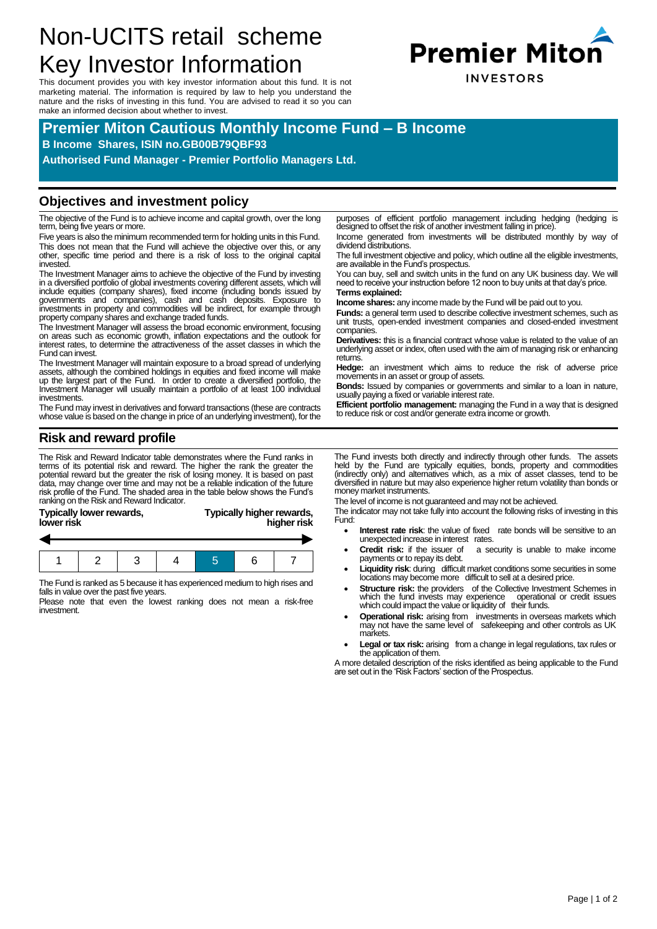# Non-UCITS retail scheme Key Investor Information

This document provides you with key investor information about this fund. It is not marketing material. The information is required by law to help you understand the nature and the risks of investing in this fund. You are advised to read it so you can make an informed decision about whether to invest.

## **Premier Miton Cautious Monthly Income Fund – B Income**

**B Income Shares, ISIN no.GB00B79QBF93**

**Authorised Fund Manager - Premier Portfolio Managers Ltd.**

#### **Objectives and investment policy**

The objective of the Fund is to achieve income and capital growth, over the long term, being five years or more.

Five years is also the minimum recommended term for holding units in this Fund. This does not mean that the Fund will achieve the objective over this, or any other, specific time period and there is a risk of loss to the original capital invested.

The Investment Manager aims to achieve the objective of the Fund by investing in a diversified portfolio of global investments covering different assets, which will<br>include equities (company shares), fixed income (including bonds issued by<br>governments and companies), cash and cash deposits. E investments in property and commodities will be indirect, for example through property company shares and exchange traded funds.

The Investment Manager will assess the broad economic environment, focusing on areas such as economic growth, inflation expectations and the outlook for interest rates, to determine the attractiveness of the asset classes in which the Fund can invest.

The Investment Manager will maintain exposure to a broad spread of underlying assets, although the combined holdings in equities and fixed income will make up the largest part of the Fund. In order to create a diversified portfolio, the Investment Manager will usually maintain a portfolio of at least 100 individual investments.

The Fund may invest in derivatives and forward transactions (these are contracts whose value is based on the change in price of an underlying investment), for the

**Risk and reward profile**

The Risk and Reward Indicator table demonstrates where the Fund ranks in terms of its potential risk and reward. The higher the rank the greater the potential reward but the greater the risk of losing money. It is based on past data, may change over time and may not be a reliable indication of the future risk profile of the Fund. The shaded area in the table below shows the Fund's ranking on the Risk and Reward Indicator.

| <b>Typically lower rewards,</b><br>lower risk | Typically higher rewards,<br>higher risk |
|-----------------------------------------------|------------------------------------------|
|                                               |                                          |
|                                               |                                          |
|                                               |                                          |

|--|--|--|

The Fund is ranked as 5 because it has experienced medium to high rises and falls in value over the past five years.

Please note that even the lowest ranking does not mean a risk-free investment.

purposes of efficient portfolio management including hedging (hedging is designed to offset the risk of another investment falling in price).

Income generated from investments will be distributed monthly by way of dividend distributions.

The full investment objective and policy, which outline all the eligible investments, are available in the Fund's prospectus.

You can buy, sell and switch units in the fund on any UK business day. We will need to receive your instruction before 12 noon to buy units at that day's price. **Terms explained:**

**Income shares:** any income made by the Fund will be paid out to you.

Funds: a general term used to describe collective investment schemes, such as unit trusts, open-ended investment companies and closed-ended investment companies.

**Derivatives:** this is a financial contract whose value is related to the value of an underlying asset or index, often used with the aim of managing risk or enhancing returns.

**Hedge:** an investment which aims to reduce the risk of adverse price movements in an asset or group of assets.

**Bonds:** Issued by companies or governments and similar to a loan in nature, usually paying a fixed or variable interest rate.

**Efficient portfolio management:** managing the Fund in a way that is designed to reduce risk or cost and/or generate extra income or growth.

The Fund invests both directly and indirectly through other funds. The assets<br>held by the Fund are typically equities, bonds, property and commodities<br>(indirectly only) and alternatives which, as a mix of asset classes, te money market instruments.

The level of income is not guaranteed and may not be achieved.

The indicator may not take fully into account the following risks of investing in this Fund:

- **Interest rate risk:** the value of fixed rate bonds will be sensitive to an unexpected increase in interest rates.
- **Credit risk:** if the issuer of a security is unable to make income payments or to repay its debt.
- Liquidity risk: during difficult market conditions some securities in some locations may become more difficult to sell at a desired price.
- **Structure risk:** the providers of the Collective Investment Schemes in which the fund invests may experience operational or credit issues which could impact the value or liquidity of their funds.
- **Operational risk:** arising from investments in overseas markets which may not have the same level of safekeeping and other controls as UK markets.
- Legal or tax risk: arising from a change in legal regulations, tax rules or the application of them.

A more detailed description of the risks identified as being applicable to the Fund are set out in the 'Risk Factors' section of the Prospectus.